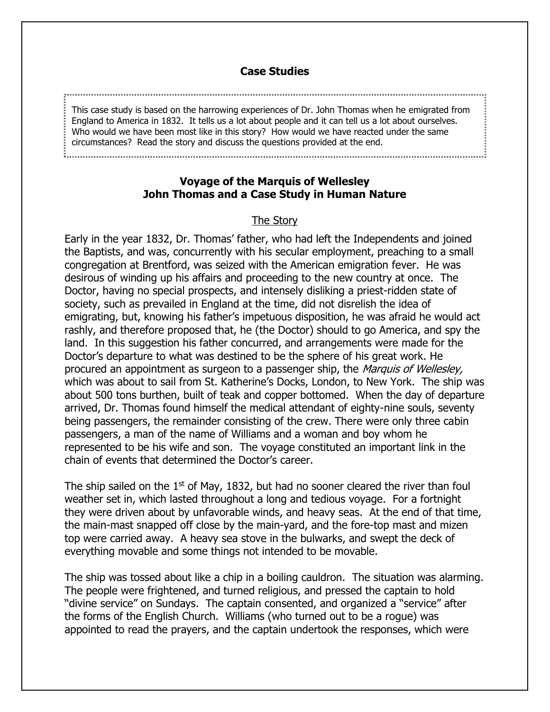## **Case Studies**

This case study is based on the harrowing experiences of Dr. John Thomas when he emigrated from  $\frac{1}{3}$  England to America in 1832. It tells us a lot about people and it can tell us a lot about ourselves. Who would we have been most like in this story? How would we have reacted under the same circumstances? Read the story and discuss the questions provided at the end.

**Voyage of the Marquis of Wellesley John Thomas and a Case Study in Human Nature**

## The Story

Early in the year 1832, Dr. Thomas' father, who had left the Independents and joined the Baptists, and was, concurrently with his secular employment, preaching to a small congregation at Brentford, was seized with the American emigration fever. He was desirous of winding up his affairs and proceeding to the new country at once. The Doctor, having no special prospects, and intensely disliking a priest-ridden state of society, such as prevailed in England at the time, did not disrelish the idea of emigrating, but, knowing his father's impetuous disposition, he was afraid he would act rashly, and therefore proposed that, he (the Doctor) should to go America, and spy the land. In this suggestion his father concurred, and arrangements were made for the Doctor's departure to what was destined to be the sphere of his great work. He procured an appointment as surgeon to a passenger ship, the Marquis of Wellesley, which was about to sail from St. Katherine's Docks, London, to New York. The ship was about 500 tons burthen, built of teak and copper bottomed. When the day of departure arrived, Dr. Thomas found himself the medical attendant of eighty-nine souls, seventy being passengers, the remainder consisting of the crew. There were only three cabin passengers, a man of the name of Williams and a woman and boy whom he represented to be his wife and son. The voyage constituted an important link in the chain of events that determined the Doctor's career.

The ship sailed on the  $1<sup>st</sup>$  of May, 1832, but had no sooner cleared the river than foul weather set in, which lasted throughout a long and tedious voyage. For a fortnight they were driven about by unfavorable winds, and heavy seas. At the end of that time, the main-mast snapped off close by the main-yard, and the fore-top mast and mizen top were carried away. A heavy sea stove in the bulwarks, and swept the deck of everything movable and some things not intended to be movable.

The ship was tossed about like a chip in a boiling cauldron. The situation was alarming. The people were frightened, and turned religious, and pressed the captain to hold "divine service" on Sundays. The captain consented, and organized a "service" after the forms of the English Church. Williams (who turned out to be a rogue) was appointed to read the prayers, and the captain undertook the responses, which were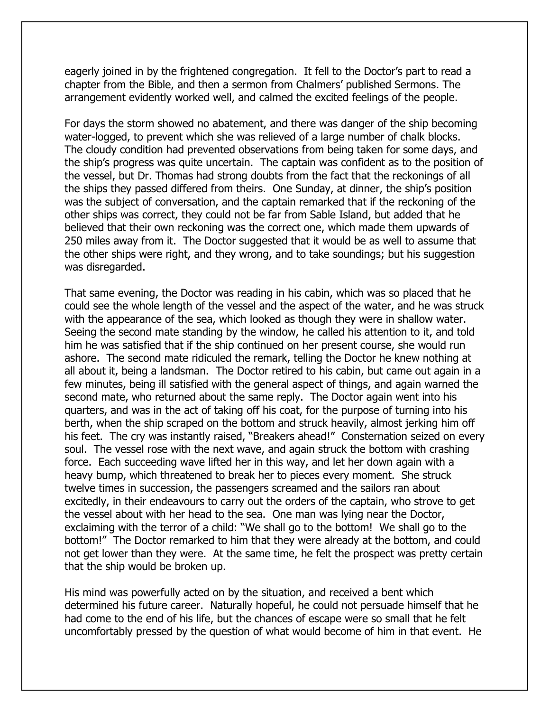eagerly joined in by the frightened congregation. It fell to the Doctor's part to read a chapter from the Bible, and then a sermon from Chalmers' published Sermons. The arrangement evidently worked well, and calmed the excited feelings of the people.

For days the storm showed no abatement, and there was danger of the ship becoming water-logged, to prevent which she was relieved of a large number of chalk blocks. The cloudy condition had prevented observations from being taken for some days, and the ship's progress was quite uncertain. The captain was confident as to the position of the vessel, but Dr. Thomas had strong doubts from the fact that the reckonings of all the ships they passed differed from theirs. One Sunday, at dinner, the ship's position was the subject of conversation, and the captain remarked that if the reckoning of the other ships was correct, they could not be far from Sable Island, but added that he believed that their own reckoning was the correct one, which made them upwards of 250 miles away from it. The Doctor suggested that it would be as well to assume that the other ships were right, and they wrong, and to take soundings; but his suggestion was disregarded.

That same evening, the Doctor was reading in his cabin, which was so placed that he could see the whole length of the vessel and the aspect of the water, and he was struck with the appearance of the sea, which looked as though they were in shallow water. Seeing the second mate standing by the window, he called his attention to it, and told him he was satisfied that if the ship continued on her present course, she would run ashore. The second mate ridiculed the remark, telling the Doctor he knew nothing at all about it, being a landsman. The Doctor retired to his cabin, but came out again in a few minutes, being ill satisfied with the general aspect of things, and again warned the second mate, who returned about the same reply. The Doctor again went into his quarters, and was in the act of taking off his coat, for the purpose of turning into his berth, when the ship scraped on the bottom and struck heavily, almost jerking him off his feet. The cry was instantly raised, "Breakers ahead!" Consternation seized on every soul. The vessel rose with the next wave, and again struck the bottom with crashing force. Each succeeding wave lifted her in this way, and let her down again with a heavy bump, which threatened to break her to pieces every moment. She struck twelve times in succession, the passengers screamed and the sailors ran about excitedly, in their endeavours to carry out the orders of the captain, who strove to get the vessel about with her head to the sea. One man was lying near the Doctor, exclaiming with the terror of a child: "We shall go to the bottom! We shall go to the bottom!" The Doctor remarked to him that they were already at the bottom, and could not get lower than they were. At the same time, he felt the prospect was pretty certain that the ship would be broken up.

His mind was powerfully acted on by the situation, and received a bent which determined his future career. Naturally hopeful, he could not persuade himself that he had come to the end of his life, but the chances of escape were so small that he felt uncomfortably pressed by the question of what would become of him in that event. He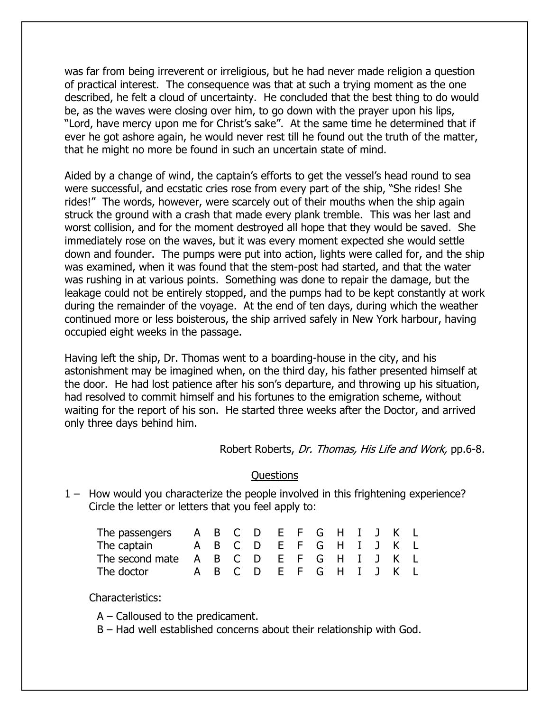was far from being irreverent or irreligious, but he had never made religion a question of practical interest. The consequence was that at such a trying moment as the one described, he felt a cloud of uncertainty. He concluded that the best thing to do would be, as the waves were closing over him, to go down with the prayer upon his lips, "Lord, have mercy upon me for Christ's sake". At the same time he determined that if ever he got ashore again, he would never rest till he found out the truth of the matter, that he might no more be found in such an uncertain state of mind.

Aided by a change of wind, the captain's efforts to get the vessel's head round to sea were successful, and ecstatic cries rose from every part of the ship, "She rides! She rides!" The words, however, were scarcely out of their mouths when the ship again struck the ground with a crash that made every plank tremble. This was her last and worst collision, and for the moment destroyed all hope that they would be saved. She immediately rose on the waves, but it was every moment expected she would settle down and founder. The pumps were put into action, lights were called for, and the ship was examined, when it was found that the stem-post had started, and that the water was rushing in at various points. Something was done to repair the damage, but the leakage could not be entirely stopped, and the pumps had to be kept constantly at work during the remainder of the voyage. At the end of ten days, during which the weather continued more or less boisterous, the ship arrived safely in New York harbour, having occupied eight weeks in the passage.

Having left the ship, Dr. Thomas went to a boarding-house in the city, and his astonishment may be imagined when, on the third day, his father presented himself at the door. He had lost patience after his son's departure, and throwing up his situation, had resolved to commit himself and his fortunes to the emigration scheme, without waiting for the report of his son. He started three weeks after the Doctor, and arrived only three days behind him.

Robert Roberts, Dr. Thomas, His Life and Work, pp.6-8.

## Questions

1 – How would you characterize the people involved in this frightening experience? Circle the letter or letters that you feel apply to:

| The passengers $A$ $B$ $C$ $D$ $E$ $F$ $G$ $H$ $I$ $J$ $K$ $L$  |  |  |  |  |  |  |
|-----------------------------------------------------------------|--|--|--|--|--|--|
| The captain A B C D E F G H I J K L                             |  |  |  |  |  |  |
| The second mate $A$ $B$ $C$ $D$ $E$ $F$ $G$ $H$ $I$ $J$ $K$ $L$ |  |  |  |  |  |  |
| The doctor A B C D E F G H I J K L                              |  |  |  |  |  |  |

Characteristics:

A – Calloused to the predicament.

B – Had well established concerns about their relationship with God.